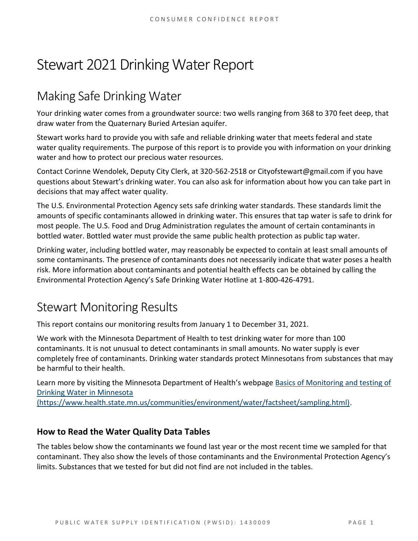# Stewart 2021 Drinking Water Report

## Making Safe Drinking Water

Your drinking water comes from a groundwater source: two wells ranging from 368 to 370 feet deep, that draw water from the Quaternary Buried Artesian aquifer.

Stewart works hard to provide you with safe and reliable drinking water that meets federal and state water quality requirements. The purpose of this report is to provide you with information on your drinking water and how to protect our precious water resources.

Contact Corinne Wendolek, Deputy City Clerk, at 320-562-2518 or Cityofstewart@gmail.com if you have questions about Stewart's drinking water. You can also ask for information about how you can take part in decisions that may affect water quality.

The U.S. Environmental Protection Agency sets safe drinking water standards. These standards limit the amounts of specific contaminants allowed in drinking water. This ensures that tap water is safe to drink for most people. The U.S. Food and Drug Administration regulates the amount of certain contaminants in bottled water. Bottled water must provide the same public health protection as public tap water.

Drinking water, including bottled water, may reasonably be expected to contain at least small amounts of some contaminants. The presence of contaminants does not necessarily indicate that water poses a health risk. More information about contaminants and potential health effects can be obtained by calling the Environmental Protection Agency's Safe Drinking Water Hotline at 1-800-426-4791.

## Stewart Monitoring Results

This report contains our monitoring results from January 1 to December 31, 2021.

We work with the Minnesota Department of Health to test drinking water for more than 100 contaminants. It is not unusual to detect contaminants in small amounts. No water supply is ever completely free of contaminants. Drinking water standards protect Minnesotans from substances that may be harmful to their health.

Learn more by visiting the Minnesota Department of Health's webpage [Basics of Monitoring and testing of](https://www.health.state.mn.us/communities/environment/water/factsheet/sampling.html)  [Drinking Water in Minnesota](https://www.health.state.mn.us/communities/environment/water/factsheet/sampling.html) 

[\(https://www.health.state.mn.us/communities/environment/water/factsheet/sampling.html\).](https://www.health.state.mn.us/communities/environment/water/factsheet/sampling.html)

## **How to Read the Water Quality Data Tables**

The tables below show the contaminants we found last year or the most recent time we sampled for that contaminant. They also show the levels of those contaminants and the Environmental Protection Agency's limits. Substances that we tested for but did not find are not included in the tables.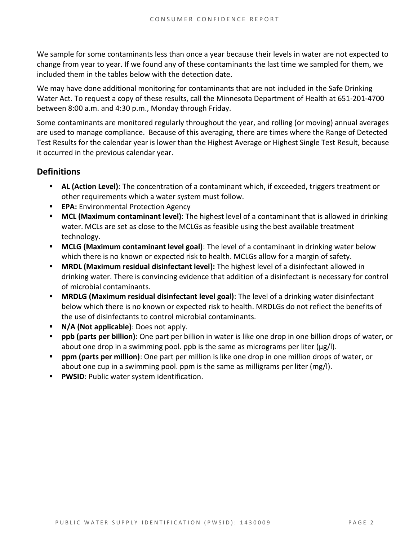We sample for some contaminants less than once a year because their levels in water are not expected to change from year to year. If we found any of these contaminants the last time we sampled for them, we included them in the tables below with the detection date.

We may have done additional monitoring for contaminants that are not included in the Safe Drinking Water Act. To request a copy of these results, call the Minnesota Department of Health at 651-201-4700 between 8:00 a.m. and 4:30 p.m., Monday through Friday.

Some contaminants are monitored regularly throughout the year, and rolling (or moving) annual averages are used to manage compliance. Because of this averaging, there are times where the Range of Detected Test Results for the calendar year is lower than the Highest Average or Highest Single Test Result, because it occurred in the previous calendar year.

### **Definitions**

- AL (Action Level): The concentration of a contaminant which, if exceeded, triggers treatment or other requirements which a water system must follow.
- **EPA:** Environmental Protection Agency
- **MCL (Maximum contaminant level)**: The highest level of a contaminant that is allowed in drinking water. MCLs are set as close to the MCLGs as feasible using the best available treatment technology.
- **MCLG (Maximum contaminant level goal)**: The level of a contaminant in drinking water below which there is no known or expected risk to health. MCLGs allow for a margin of safety.
- **MRDL (Maximum residual disinfectant level):** The highest level of a disinfectant allowed in drinking water. There is convincing evidence that addition of a disinfectant is necessary for control of microbial contaminants.
- **MRDLG (Maximum residual disinfectant level goal)**: The level of a drinking water disinfectant below which there is no known or expected risk to health. MRDLGs do not reflect the benefits of the use of disinfectants to control microbial contaminants.
- **N/A (Not applicable)**: Does not apply.
- **ppb (parts per billion)**: One part per billion in water is like one drop in one billion drops of water, or about one drop in a swimming pool. ppb is the same as micrograms per liter ( $\mu$ g/l).
- **ppm (parts per million)**: One part per million is like one drop in one million drops of water, or about one cup in a swimming pool. ppm is the same as milligrams per liter (mg/l).
- **PWSID: Public water system identification.**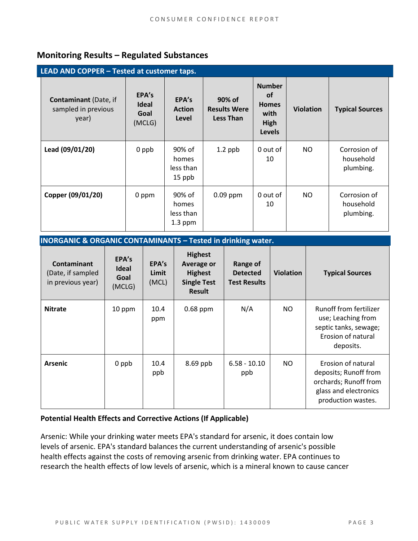## **Monitoring Results – Regulated Substances**

| LEAD AND COPPER - Tested at customer taps.                   |                                         |                                           |                                                   |                                                                             |                  |                                        |  |
|--------------------------------------------------------------|-----------------------------------------|-------------------------------------------|---------------------------------------------------|-----------------------------------------------------------------------------|------------------|----------------------------------------|--|
| <b>Contaminant</b> (Date, if<br>sampled in previous<br>year) | EPA's<br><b>Ideal</b><br>Goal<br>(MCLG) | EPA's<br><b>Action</b><br>Level           | 90% of<br><b>Results Were</b><br><b>Less Than</b> | <b>Number</b><br><b>of</b><br><b>Homes</b><br>with<br>High<br><b>Levels</b> | <b>Violation</b> | <b>Typical Sources</b>                 |  |
| Lead (09/01/20)                                              | 0 ppb                                   | 90% of<br>homes<br>less than<br>15 ppb    | $1.2$ ppb                                         | 0 out of<br>10                                                              | NO.              | Corrosion of<br>household<br>plumbing. |  |
| Copper (09/01/20)                                            | 0 ppm                                   | 90% of<br>homes<br>less than<br>$1.3$ ppm | $0.09$ ppm                                        | 0 out of<br>10                                                              | NO.              | Corrosion of<br>household<br>plumbing. |  |

#### **INORGANIC & ORGANIC CONTAMINANTS – Tested in drinking water.**

| <b>Contaminant</b><br>(Date, if sampled<br>in previous year) | EPA's<br><b>Ideal</b><br>Goal<br>(MCLG) | EPA's<br>Limit<br>(MCL) | <b>Highest</b><br><b>Average or</b><br><b>Highest</b><br><b>Single Test</b><br><b>Result</b> | <b>Range of</b><br><b>Detected</b><br><b>Test Results</b> | <b>Violation</b> | <b>Typical Sources</b>                                                                                              |
|--------------------------------------------------------------|-----------------------------------------|-------------------------|----------------------------------------------------------------------------------------------|-----------------------------------------------------------|------------------|---------------------------------------------------------------------------------------------------------------------|
| <b>Nitrate</b>                                               | 10 ppm                                  | 10.4<br>ppm             | $0.68$ ppm                                                                                   | N/A                                                       | NO.              | Runoff from fertilizer<br>use; Leaching from<br>septic tanks, sewage;<br>Erosion of natural<br>deposits.            |
| <b>Arsenic</b>                                               | 0 ppb                                   | 10.4<br>ppb             | $8.69$ ppb                                                                                   | $6.58 - 10.10$<br>ppb                                     | NO.              | Erosion of natural<br>deposits; Runoff from<br>orchards; Runoff from<br>glass and electronics<br>production wastes. |

#### **Potential Health Effects and Corrective Actions (If Applicable)**

Arsenic: While your drinking water meets EPA's standard for arsenic, it does contain low levels of arsenic. EPA's standard balances the current understanding of arsenic's possible health effects against the costs of removing arsenic from drinking water. EPA continues to research the health effects of low levels of arsenic, which is a mineral known to cause cancer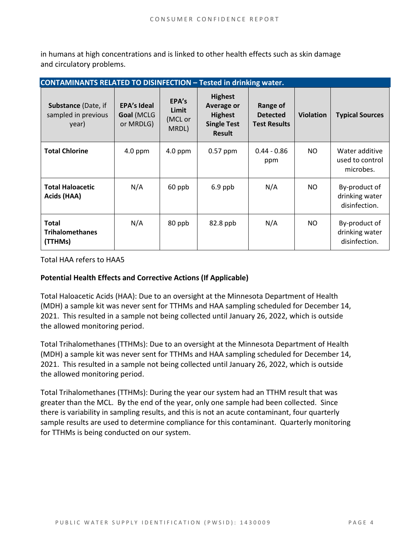in humans at high concentrations and is linked to other health effects such as skin damage and circulatory problems.

| <b>CONTAMINANTS RELATED TO DISINFECTION - Tested in drinking water.</b> |                                               |                                    |                                                                                              |                                                    |                  |                                                  |  |
|-------------------------------------------------------------------------|-----------------------------------------------|------------------------------------|----------------------------------------------------------------------------------------------|----------------------------------------------------|------------------|--------------------------------------------------|--|
| Substance (Date, if<br>sampled in previous<br>year)                     | <b>EPA's Ideal</b><br>Goal (MCLG<br>or MRDLG) | EPA's<br>Limit<br>(MCL or<br>MRDL) | <b>Highest</b><br><b>Average or</b><br><b>Highest</b><br><b>Single Test</b><br><b>Result</b> | Range of<br><b>Detected</b><br><b>Test Results</b> | <b>Violation</b> | <b>Typical Sources</b>                           |  |
| <b>Total Chlorine</b>                                                   | $4.0$ ppm                                     | $4.0$ ppm                          | $0.57$ ppm                                                                                   | $0.44 - 0.86$<br>ppm                               | NO.              | Water additive<br>used to control<br>microbes.   |  |
| <b>Total Haloacetic</b><br>Acids (HAA)                                  | N/A                                           | 60 ppb                             | $6.9$ ppb                                                                                    | N/A                                                | NO.              | By-product of<br>drinking water<br>disinfection. |  |
| <b>Total</b><br><b>Trihalomethanes</b><br>(TTHMs)                       | N/A                                           | 80 ppb                             | 82.8 ppb                                                                                     | N/A                                                | NO.              | By-product of<br>drinking water<br>disinfection. |  |

Total HAA refers to HAA5

#### **Potential Health Effects and Corrective Actions (If Applicable)**

Total Haloacetic Acids (HAA): Due to an oversight at the Minnesota Department of Health (MDH) a sample kit was never sent for TTHMs and HAA sampling scheduled for December 14, 2021. This resulted in a sample not being collected until January 26, 2022, which is outside the allowed monitoring period.

Total Trihalomethanes (TTHMs): Due to an oversight at the Minnesota Department of Health (MDH) a sample kit was never sent for TTHMs and HAA sampling scheduled for December 14, 2021. This resulted in a sample not being collected until January 26, 2022, which is outside the allowed monitoring period.

Total Trihalomethanes (TTHMs): During the year our system had an TTHM result that was greater than the MCL. By the end of the year, only one sample had been collected. Since there is variability in sampling results, and this is not an acute contaminant, four quarterly sample results are used to determine compliance for this contaminant. Quarterly monitoring for TTHMs is being conducted on our system.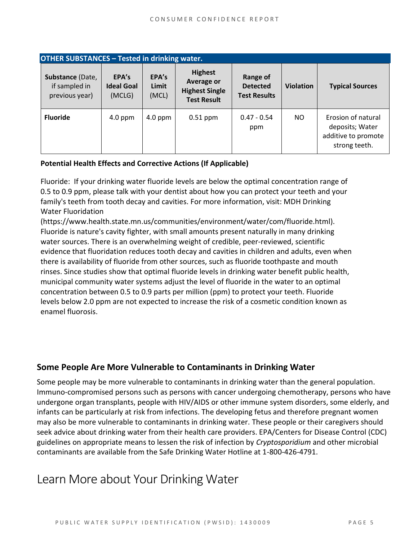| <b>OTHER SUBSTANCES - Tested in drinking water.</b> |                                      |                         |                                                                                    |                                                    |                  |                                                                               |  |  |
|-----------------------------------------------------|--------------------------------------|-------------------------|------------------------------------------------------------------------------------|----------------------------------------------------|------------------|-------------------------------------------------------------------------------|--|--|
| Substance (Date,<br>if sampled in<br>previous year) | EPA's<br><b>Ideal Goal</b><br>(MCLG) | EPA's<br>Limit<br>(MCL) | <b>Highest</b><br><b>Average or</b><br><b>Highest Single</b><br><b>Test Result</b> | Range of<br><b>Detected</b><br><b>Test Results</b> | <b>Violation</b> | <b>Typical Sources</b>                                                        |  |  |
| <b>Fluoride</b>                                     | $4.0$ ppm                            | $4.0$ ppm               | $0.51$ ppm                                                                         | $0.47 - 0.54$<br>ppm                               | NO.              | Erosion of natural<br>deposits; Water<br>additive to promote<br>strong teeth. |  |  |

#### **Potential Health Effects and Corrective Actions (If Applicable)**

Fluoride: If your drinking water fluoride levels are below the optimal concentration range of 0.5 to 0.9 ppm, please talk with your dentist about how you can protect your teeth and your family's teeth from tooth decay and cavities. For more information, visit: MDH Drinking Water Fluoridation

(https://www.health.state.mn.us/communities/environment/water/com/fluoride.html). Fluoride is nature's cavity fighter, with small amounts present naturally in many drinking water sources. There is an overwhelming weight of credible, peer-reviewed, scientific evidence that fluoridation reduces tooth decay and cavities in children and adults, even when there is availability of fluoride from other sources, such as fluoride toothpaste and mouth rinses. Since studies show that optimal fluoride levels in drinking water benefit public health, municipal community water systems adjust the level of fluoride in the water to an optimal concentration between 0.5 to 0.9 parts per million (ppm) to protect your teeth. Fluoride levels below 2.0 ppm are not expected to increase the risk of a cosmetic condition known as enamel fluorosis.

## **Some People Are More Vulnerable to Contaminants in Drinking Water**

Some people may be more vulnerable to contaminants in drinking water than the general population. Immuno-compromised persons such as persons with cancer undergoing chemotherapy, persons who have undergone organ transplants, people with HIV/AIDS or other immune system disorders, some elderly, and infants can be particularly at risk from infections. The developing fetus and therefore pregnant women may also be more vulnerable to contaminants in drinking water. These people or their caregivers should seek advice about drinking water from their health care providers. EPA/Centers for Disease Control (CDC) guidelines on appropriate means to lessen the risk of infection by *Cryptosporidium* and other microbial contaminants are available from the Safe Drinking Water Hotline at 1-800-426-4791.

## Learn More about Your Drinking Water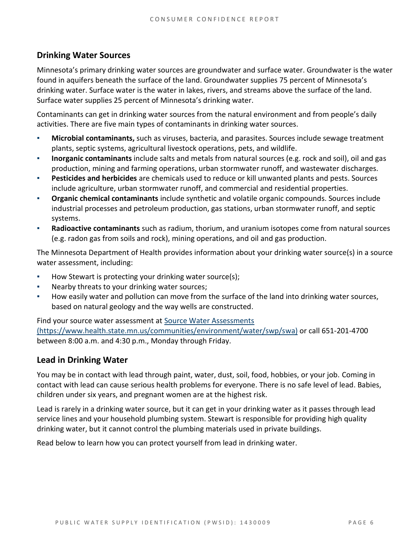## **Drinking Water Sources**

Minnesota's primary drinking water sources are groundwater and surface water. Groundwater is the water found in aquifers beneath the surface of the land. Groundwater supplies 75 percent of Minnesota's drinking water. Surface water is the water in lakes, rivers, and streams above the surface of the land. Surface water supplies 25 percent of Minnesota's drinking water.

Contaminants can get in drinking water sources from the natural environment and from people's daily activities. There are five main types of contaminants in drinking water sources.

- **Microbial contaminants,** such as viruses, bacteria, and parasites. Sources include sewage treatment plants, septic systems, agricultural livestock operations, pets, and wildlife.
- **Inorganic contaminants** include salts and metals from natural sources (e.g. rock and soil), oil and gas production, mining and farming operations, urban stormwater runoff, and wastewater discharges.
- **Pesticides and herbicides** are chemicals used to reduce or kill unwanted plants and pests. Sources include agriculture, urban stormwater runoff, and commercial and residential properties.
- **Organic chemical contaminants** include synthetic and volatile organic compounds. Sources include industrial processes and petroleum production, gas stations, urban stormwater runoff, and septic systems.
- **Radioactive contaminants** such as radium, thorium, and uranium isotopes come from natural sources (e.g. radon gas from soils and rock), mining operations, and oil and gas production.

The Minnesota Department of Health provides information about your drinking water source(s) in a source water assessment, including:

- How Stewart is protecting your drinking water source(s);
- Nearby threats to your drinking water sources;
- How easily water and pollution can move from the surface of the land into drinking water sources, based on natural geology and the way wells are constructed.

Find your source water assessment at [Source Water Assessments](https://www.health.state.mn.us/communities/environment/water/swp/swa)  [\(https://www.health.state.mn.us/communities/environment/water/swp/swa\)](https://www.health.state.mn.us/communities/environment/water/swp/swa) or call 651-201-4700 between 8:00 a.m. and 4:30 p.m., Monday through Friday.

## **Lead in Drinking Water**

You may be in contact with lead through paint, water, dust, soil, food, hobbies, or your job. Coming in contact with lead can cause serious health problems for everyone. There is no safe level of lead. Babies, children under six years, and pregnant women are at the highest risk.

Lead is rarely in a drinking water source, but it can get in your drinking water as it passes through lead service lines and your household plumbing system. Stewart is responsible for providing high quality drinking water, but it cannot control the plumbing materials used in private buildings.

Read below to learn how you can protect yourself from lead in drinking water.